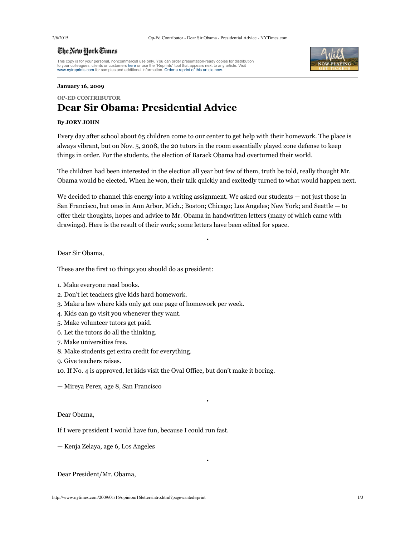## The New York Times

This copy is for your personal, noncommercial use only. You can order presentation-ready copies for distribution<br>to your colleagues, clients or customers here or use the "Reprints" tool that appears next to any article. Vi



### **January 16, 2009**

## **OPED CONTRIBUTOR**

# **Dear Sir Obama: Presidential Advice**

## **By JORY JOHN**

Every day after school about 65 children come to our center to get help with their homework. The place is always vibrant, but on Nov. 5, 2008, the 20 tutors in the room essentially played zone defense to keep things in order. For the students, the election of Barack Obama had overturned their world.

The children had been interested in the election all year but few of them, truth be told, really thought Mr. Obama would be elected. When he won, their talk quickly and excitedly turned to what would happen next.

We decided to channel this energy into a writing assignment. We asked our students — not just those in San Francisco, but ones in Ann Arbor, Mich.; Boston; Chicago; Los Angeles; New York; and Seattle — to offer their thoughts, hopes and advice to Mr. Obama in handwritten letters (many of which came with drawings). Here is the result of their work; some letters have been edited for space.

•

•

•

Dear Sir Obama,

These are the first 10 things you should do as president:

- 1. Make everyone read books.
- 2. Don't let teachers give kids hard homework.
- 3. Make a law where kids only get one page of homework per week.
- 4. Kids can go visit you whenever they want.
- 5. Make volunteer tutors get paid.
- 6. Let the tutors do all the thinking.
- 7. Make universities free.
- 8. Make students get extra credit for everything.
- 9. Give teachers raises.

10. If No. 4 is approved, let kids visit the Oval Office, but don't make it boring.

— Mireya Perez, age 8, San Francisco

## Dear Obama,

If I were president I would have fun, because I could run fast.

— Kenja Zelaya, age 6, Los Angeles

Dear President/Mr. Obama,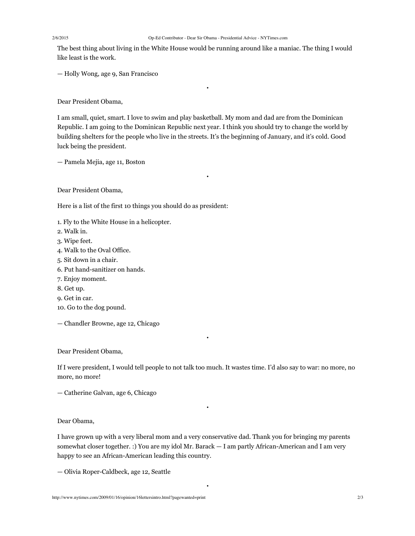The best thing about living in the White House would be running around like a maniac. The thing I would like least is the work.

•

— Holly Wong, age 9, San Francisco

Dear President Obama,

I am small, quiet, smart. I love to swim and play basketball. My mom and dad are from the Dominican Republic. I am going to the Dominican Republic next year. I think you should try to change the world by building shelters for the people who live in the streets. It's the beginning of January, and it's cold. Good luck being the president.

•

— Pamela Mejia, age 11, Boston

Dear President Obama,

Here is a list of the first 10 things you should do as president:

- 1. Fly to the White House in a helicopter.
- 2. Walk in.
- 3. Wipe feet.
- 4. Walk to the Oval Office.
- 5. Sit down in a chair.
- 6. Put hand-sanitizer on hands.
- 7. Enjoy moment.
- 8. Get up.
- 9. Get in car.
- 10. Go to the dog pound.
- Chandler Browne, age 12, Chicago

Dear President Obama,

If I were president, I would tell people to not talk too much. It wastes time. I'd also say to war: no more, no more, no more!

•

•

— Catherine Galvan, age 6, Chicago

Dear Obama,

I have grown up with a very liberal mom and a very conservative dad. Thank you for bringing my parents somewhat closer together. :) You are my idol Mr. Barack — I am partly African-American and I am very happy to see an African-American leading this country.

•

— Olivia Roper-Caldbeck, age 12, Seattle